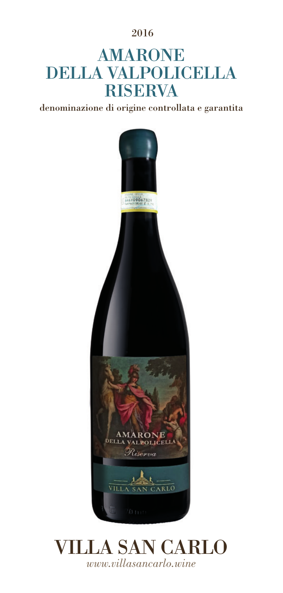2016

# AMARONE DELLA VALPOLICELLA **RISERVA**

denominazione di origine controllata e garantita